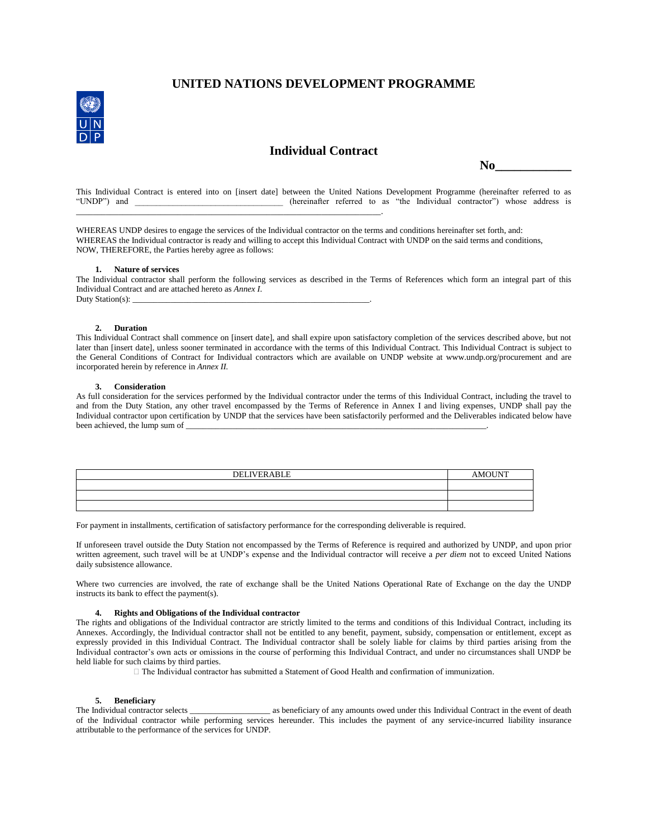# **UNITED NATIONS DEVELOPMENT PROGRAMME**



## **Individual Contract**

 **No\_\_\_\_\_\_\_\_\_\_\_\_**

This Individual Contract is entered into on [insert date] between the United Nations Development Programme (hereinafter referred to as "UNDP") and (hereinafter referred to as "the Individual contractor") whose address is  $(hereinafter referred to as "the Individual contractor") whose address is$ \_\_\_\_\_\_\_\_\_\_\_\_\_\_\_\_\_\_\_\_\_\_\_\_\_\_\_\_\_\_\_\_\_\_\_\_\_\_\_\_\_\_\_\_\_\_\_\_\_\_\_\_\_\_\_\_\_\_\_\_\_\_\_\_\_\_\_\_\_\_\_\_.

WHEREAS UNDP desires to engage the services of the Individual contractor on the terms and conditions hereinafter set forth, and: WHEREAS the Individual contractor is ready and willing to accept this Individual Contract with UNDP on the said terms and conditions, NOW, THEREFORE, the Parties hereby agree as follows:

### **1. Nature of services**

The Individual contractor shall perform the following services as described in the Terms of References which form an integral part of this Individual Contract and are attached hereto as *Annex I*. Duty Station(s):

### **2. Duration**

This Individual Contract shall commence on [insert date], and shall expire upon satisfactory completion of the services described above, but not later than [insert date], unless sooner terminated in accordance with the terms of this Individual Contract. This Individual Contract is subject to the General Conditions of Contract for Individual contractors which are available on UNDP website at www.undp.org/procurement and are incorporated herein by reference in *Annex II.*

#### **3. Consideration**

As full consideration for the services performed by the Individual contractor under the terms of this Individual Contract, including the travel to and from the Duty Station, any other travel encompassed by the Terms of Reference in Annex I and living expenses, UNDP shall pay the Individual contractor upon certification by UNDP that the services have been satisfactorily performed and the Deliverables indicated below have been achieved, the lump sum of

| <b>DELIVERABLE</b> | <b>AMOUNT</b> |
|--------------------|---------------|
|                    |               |
|                    |               |
|                    |               |

For payment in installments, certification of satisfactory performance for the corresponding deliverable is required.

If unforeseen travel outside the Duty Station not encompassed by the Terms of Reference is required and authorized by UNDP, and upon prior written agreement, such travel will be at UNDP's expense and the Individual contractor will receive a *per diem* not to exceed United Nations daily subsistence allowance.

Where two currencies are involved, the rate of exchange shall be the United Nations Operational Rate of Exchange on the day the UNDP instructs its bank to effect the payment(s).

## **4. Rights and Obligations of the Individual contractor**

The rights and obligations of the Individual contractor are strictly limited to the terms and conditions of this Individual Contract, including its Annexes. Accordingly, the Individual contractor shall not be entitled to any benefit, payment, subsidy, compensation or entitlement, except as expressly provided in this Individual Contract. The Individual contractor shall be solely liable for claims by third parties arising from the Individual contractor's own acts or omissions in the course of performing this Individual Contract, and under no circumstances shall UNDP be held liable for such claims by third parties.

 $\Box$  The Individual contractor has submitted a Statement of Good Health and confirmation of immunization.

**5. Beneficiary**<br>The Individual contractor selects  $\_$  as beneficiary of any amounts owed under this Individual Contract in the event of death of the Individual contractor while performing services hereunder. This includes the payment of any service-incurred liability insurance attributable to the performance of the services for UNDP.